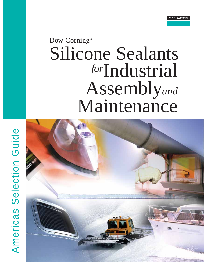# Dow Corning® Silicone Sealants Industrial *for* Assembly*and* Maintenance



Americas Selection Guide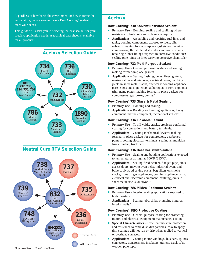Regardless of how harsh the environment or how extreme the temperature, we are sure to have a Dow Corning® sealant to meet your needs.

This guide will assist you in selecting the best sealant for your specific application needs. A technical data sheet is available for all products.



#### **Dow Corning® 730 Solvent Resistant Sealant**

- **Primary Use** Bonding, sealing and caulking where resistance to fuels, oils and solvents is required.
- **Applications** Assembling and repairing fuel lines and tanks; bonding components exposed to fuels, oils, solvents; making formed-in-place gaskets for chemical compressors, fluid-filled distributors and transformers; repairing rubber linings exposed to corrosive conditions; sealing pipe joints on lines carrying corrosive chemicals.<sup>1</sup>

#### **Dow Corning® 732 Multi-Purpose Sealant**

- **Primary Use** General purpose bonding and sealing; making formed-in-place gaskets.
- **Applications** Sealing flashing, vents, flues, gutters, marine cabins and windows, electrical boxes; caulking joints in sheet metal stacks, ductwork; bonding appliance parts, signs and sign letters; adhering auto trim, appliance trim, name plates; making formed-in-place gaskets for compressors, gearboxes, pumps.<sup>1</sup>

#### **Dow Corning® 733 Glass & Metal Sealant**

- Primary Use Bonding and sealing.
- **Applications** Bonding and sealing appliances, heavy equipment, marine equipment, recreational vehicles.<sup>1</sup>

#### **Dow Corning® 734 Flowable Sealant**

- **Primary Use** To fill voids, cracks, crevices; conformal coating for connections and battery terminals.
- Applications Coating mechanical devices; making formed-in-place gaskets for compressors, gearboxes, pumps; potting electrical terminals; sealing ammunition fuses, trailers, truck cabs.<sup>1</sup>

#### **Dow Corning® 736 Heat Resistant Sealant**

- **Primary Use** Sealing and bonding applications exposed to temperatures as high as 600°F (315°C).
- **Applications** Sealing fired heaters, flanged pipe joints, access doors, moving oven belts, industrial ovens and boilers, plywood drying ovens, bag filters on smoke stacks, flues on gas appliances; bonding appliance parts, electrical and electronic equipment; caulking joints in sheet metal stacks, ductwork.<sup>1</sup>

#### **Dow Corning® 786 Mildew Resistant Sealant**

- **Primary Use** Interior sealing applications exposed to high moisture.
- **Applications** Sealing tubs, sinks, plumbing fixtures, interior walls.<sup>1</sup>

#### **Dow Corning® 1890 Protective Coating**

- **Primary Use** General purpose coating for protecting motors and electrical equipment; maintenance coating.
- **Special Characteristics** Excellent moisture protection and resistance to sand, dust, dirt particles; easy to apply, thin coatings will not run or drip when applied to vertical or overhead surfaces.
- Applications Coating motor windings, bus bars, splines, connectors, transformers, insulators, trailers, truck cabs, wooden pole tops.<sup>1</sup>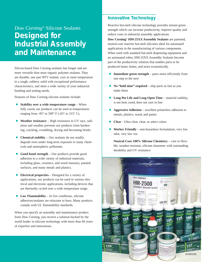## *Dow Corning®* Silicone Sealants **Designed for Industrial Assembly and Maintenance**

Silicon-based Dow Corning sealants last longer and are more versatile than most organic polymer sealants. They are durable, one part RTV sealant, cure at room temperature to a tough, rubbery solid with exceptional performance characteristics, and meet a wide variety of your industrial bonding and sealing needs.

Features of Dow Corning silicone sealants include:

- **Stability over a wide temperature range** When fully cured, our products can be used at temperatures ranging from  $-85^\circ$  to  $599^\circ$  F ( $-65^\circ$  to  $315^\circ$  C).
- **Weather resistance** High resistance to UV rays, radiation and weather prevents our products from hardening, cracking, crumbling, drying and becoming brittle.
- **Chemical stability** Our sealants do not readily degrade even under long-term exposure to many chemicals and atmospheric pollutants.
- **Good bond strength** Our products provide good adhesion to a wide variety of industrial materials, including glass, ceramics, and wood masonry, painted surfaces, and many metals and plastics.
- **Electrical properties** Designed for a variety of applications, our products can be used in various electrical and electronic applications, including devices that are thermally cycled over a wide temperature range.
- **Low Flammability** In fire conditions, silicone adhesives/sealants are reluctant to burn. Many products comply with UL flammability standards.

When you specify an assembly and maintenance product from Dow Corning, you receive a solution backed by the world leader in silicone technology with more than 60 years of expertise and innovations.

## **Innovative Technology**

Reactive hot-melt silicone technology provides instant green strength which can increase productivity, improve quality and reduce costs in industrial assembly applications.

**Dow Corning® HM-25XX Assembly Sealants** are patented, neutral-cure reactive hot-melt silicones ideal for automated applications in the manufacturing of various components. When used with standard hot-melt dispensing equipment and an automated robot, HM-25XX Assembly Sealants become part of the productivity solution that enables parts to be produced faster, better, and more economically.

- **Immediate green strength** parts move efficiently from one step to the next
- **No "hold time" required** ship parts as fast as you make them
- **Long Pot Life and Long Open Time** material stability, is not heat cured, does not cure in line
- **Aggressive Adhesion** excellent primerless adhesion to metals, plastics, wood, and paints
- Clear Ultra clear, clear, or select colors
- **Worker Friendly** non-hazardous formulation, very low odor, very low voc

**Neutral-Cure 100% Silicone Chemistry** – cure to flexible, weather-resistant, silicone elastomer with outstanding durability and UV resistance

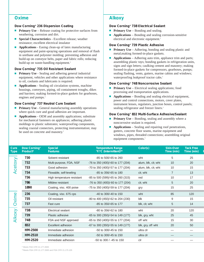#### **Dow Corning® 236 Dispersion Coating**

- **Primary Use** Release coating for protective surfaces from weathering, corrosion and dirt.
- **Special Characteristics** Excellent release; weather resistance; excellent electrical insulator
- **Applications** Easing clean-up of latex manufacturing equipment and paint-spraying operations and removal of flash in urethane and polyester molding; preventing adhesion and build-up on conveyor belts, paper and fabric rolls; reducing build-up on waste-handling equipment.<sup>1</sup>

#### **Dow Corning® 735 Oil Resistant Sealant**

- **Primary Use** Sealing and adhering general industrial equipment, vehicles and other applications where resistance to oil, coolants and lubricants is required.
- **Applications** Sealing oil circulation systems, machine housings, conveyors, piping, oil containment troughs, dikes and barriers; making formed-in-place gaskets for gearboxes, engines and pumps.<sup>1</sup>

#### **Dow Corning® 737 Neutral Cure Sealant**

- **Primary Use** General manufacturing assembly operations where quick cure and good adhesion are important.
- **Applications** OEM and assembly applications; substitute for mechanical fasteners on appliances; adhering plastic moldings to plastic substrates; waterproofing components, sealing coaxial connectors, protecting instrumentation; may be used on concrete and masonry.<sup>1</sup>

## **Oxime** Alkoxy

#### **Dow Corning® 738 Electrical Sealant**

- **Primary Use** Bonding and sealing.
- **Applications** Bonding and sealing corrosion-sensitive electrical and electronic equipment.<sup>1</sup>

#### **Dow Corning® 739 Plastic Adhesive**

- **Primary Use** Adhering, bonding and sealing plastic and metal;making formed-in-place gaskets.
- **Applications** Adhering auto trim, appliance trim and parts; assembling plastic toys; bonding gaskets in refrigeration units, signs and sign letters; caulking cement and masonry; making formed-in-place gaskets for compressors, gearboxes, pumps; sealing flashing, vents, gutters, marine cabins and windows; waterproofing leakproof tractor cabs.<sup>1</sup>

#### **Dow Corning® 748 Noncorrosive Sealant**

- **Primary Use** Electrical sealing applications; food processing and transportation applications.
- **Applications** Bonding and sealing electrical equipment, power and control connections, motors, cover plates, instrument lenses, regulators, junction boxes, control panels; sealing refrigerator and freezer liners.<sup>1</sup>

#### **Dow Corning® 832 Multi-Surface Adhesive/Sealant**

- **Primary Use** Bonding, sealing and assembly where a noncorrosive sealant is required.
- **Applications** Sealing and repairing roof penetrations, gutters, concrete floor seams, marine equipment and windows, pipes, threaded connections; assembling original equipment components.<sup>1</sup>

| $C$ ure<br>Type | Dow Corning®<br>Product* | <b>Special</b><br><b>Features</b> | <b>Temperature Range</b><br><b>PF/PC</b> (Intermittent)** | Color(s)            | <b>Skin-Over</b><br>Time (min) | <b>Tack Free</b><br>Time (min) |
|-----------------|--------------------------|-----------------------------------|-----------------------------------------------------------|---------------------|--------------------------------|--------------------------------|
| Acetoxy         | 730                      | Solvent resistant                 | -85 to 500/-65 to 260                                     | wht                 | 5                              | 25                             |
|                 | 732                      | Multi-purpose, FDA, NSF           | -76 to 350 (400)/-60 to 177 (204)                         | alum, blk, clr, wht | 10                             | 20                             |
|                 | 733                      | Good adhesion                     | -70 to 350 (400)/-57 to 177 (204)                         | alum, blk, clr, wht | 10                             | 15                             |
|                 | 734                      | Flowable, self-leveling           | -85 to 356/-65 to 180                                     | clr, wht            | $\overline{7}$                 | 13                             |
|                 | 736                      | High temperature resistant        | -85 to 500 (599)/-65 to 260 (315)                         | red                 | 10                             | 17                             |
|                 | 786                      | Mildew resistant                  | -76 to 350 (400)/-60 to 177 (204)                         | clr, wht            | 5                              | 20                             |
|                 | 1890                     | Coating, visc. 400 poise          | -75 to 350 (400)/-59 to 177 (204)                         | gry                 | 15                             | 25                             |
| Oxime           | 236                      | Coating, visc. 675 cps            | $-40$ to 300/ $-40$ to 150                                | wht                 | 85                             | 120                            |
|                 | 735                      | Oil resistant                     | -80 to 400 (450)/-62 to 204 (230)                         | blk                 | 9                              | 15                             |
|                 | 737                      | Fast cure                         | -85 to 350/-65 to 177                                     | blk, clr, wht       | 5                              | 14                             |
| Alkoxy          | 738                      | <b>Electrical sealant</b>         | -80 to 356/-62 to 180<br>wht                              |                     | 20                             | 120                            |
|                 | 739                      | Plastic adhesive                  | -65 to 300 (350)/-54 to 149 (177)                         | blk, gry, wht       | 25                             | 45                             |
|                 | 748                      | FDA and NSF approved              | -65 to 350 (400)/-55 to 177 (204)                         | off wht             | 15                             | 30                             |
|                 | 832                      | Excellent adhesion                | -67 to 300 (350)/-55 to 149 (177)                         | blk, gry, off wht   | 20                             | 50                             |
|                 | <b>HM-2500</b>           | Immediate adhesion                | -50 to 300/-45 to 150                                     | ultra clr           |                                |                                |
|                 | HM-2510                  | Immediate adhesion                | -50 to 300/-45 to 150                                     | ultra clr           |                                |                                |
|                 | HM-2520                  | Immediate adhesion                | $-50$ to 300 / $-45$ to 150                               | clr                 |                                |                                |

\* Meets FDA CFR 21.177.2600

\*\*Meets FDA CFR 21.177.2600 and FDA CFR 21.175.105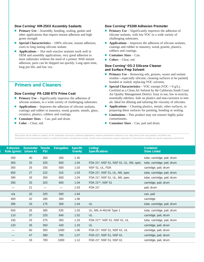#### **Dow Corning® HM-25XX Assembly Sealants**

- **Primary Use** Assembly, bonding, sealing, gasket and other applications that require instant adhesion and high green strength
- **Special Characteristics** 100% silicone, instant adhesion, cures to long lasting silicone sealant.
- **Applications** Hot melt reactive sealants work well in OEM and assembly applications, very good adhesion to most substrates without the need of a primer. With instant adhesion, parts can be shipped out quickly. Long open time, long pot life, and low voc.

### **Primers and Cleaners**

#### **Dow Corning® PR-1200 RTV Prime Coat**

- **Primary Use** Significantly improves the adhesion of silicone sealants, to a wide variety of challenging substrates.
- **Applications** Improves the adhesion of silicone sealants, coatings and rubber to masonry, wood, granite, metals, glass, ceramics, plastics, rubbers and coatings.
- **Container Sizes** Can, pail and drum.
- **Color** Clear, red.

#### **Dow Corning® P5200 Adhesion Promoter**

- **Primary Use** Significantly improves the adhesion of silicone sealants, with low VOC to a wide variety of challenging substrates.
- **Applications** Improves the adhesion of silicone sealants, coatings and rubber to masonry, wood, granite, plastics, rubbers and coatings.
- **Container Sizes** Can.
- **Colors** Clear, red.

#### **Dow Corning® OS-2 Silicone Cleaner and Surface Prep Solvent**

- **Primary Use** Removing oils, greases, waxes and sealant residue—especially silicone; cleaning surfaces to be painted, bonded or sealed; replacing VOC solvents.
- **Special Characteristics** VOC exempt (VOC = 0 g/L). Certified as a Clean Air Solvent by the California South Coast Air Quality Management District. Easy to use, low in toxicity, essentially odorless. Safe on plastics and non-corrosive to metals. Ideal for diluting and tailoring the viscosity of silicones.
- **Applications** Cleaning plastics, metals, other surfaces, or preparing these surfaces for painting, bonding or sealing.
- Limitations This product may not remove highly polar contaminants.
- **Container Sizes** Can, pail and drum.

'Most paints will not adhere to sealant; not for underwater structural or adhesive applications; requires atmospheric moisture to cure. May stress crack some plastics; test before use. 2 Estimated service temperatures based on product formulation and laboratory testing. Actual service temperature range is dependent on other factors including the specific application environment.

| <b>Extrusion</b><br>Rate (g/min) | <b>Durometer</b><br>(shore A) | Tensile<br><b>PSI</b> | <b>Elongation</b> | <b>Specific</b><br><b>Gravity</b> | Listing/<br><b>Specifications</b>     | <b>Container</b><br><b>Sizes Listed</b> |
|----------------------------------|-------------------------------|-----------------------|-------------------|-----------------------------------|---------------------------------------|-----------------------------------------|
| 250                              | 40                            | 300                   | 200               | 1.40                              |                                       | tube, cartridge, pail, drum             |
| 350                              | 25                            | 325                   | 600               | 1.04                              | FDA 21*, NSF 51, NSF 61, UL, MIL spec | tube, cartridge, pail, drum             |
| 350                              | 25                            | 335                   | 500               | 1.03                              | NSF 51, UL, FDA                       | cartridge, pail, drum                   |
| 650                              | 27                            | 222                   | 315               | 1.03                              | FDA 21*, NSF 51, UL, MIL spec         | tube, cartridge, pail, drum             |
| 390                              | 26                            | 350                   | 600               | 1.04                              | FDA 21*, NSF 51, UL, MIL spec         | tube, cartridge, pail, drum             |
| 350                              | 25                            | 325                   | 600               | 1.04                              | FDA 21**, NSF 51                      | cartridge, pail, drum                   |
|                                  | 21                            |                       |                   | 1.03                              | FDA 21*                               | pail, drum                              |
| n/a                              | 20                            | 325                   | 500               | 1.64                              |                                       | can, pail                               |
| 400                              | 42                            | 280                   | 300               | 1.06                              |                                       | cartridge                               |
| 395                              | 33                            | 175                   | 300               | 1.04                              | UL                                    | tube, cartridge, pail, drum             |
| 550                              | 35                            | 385                   | 535               | 1.03                              | UL, MIL-A-46146 Type 1                | tube, cartridge, pail, drum             |
| 110                              | 37                            | 225                   | 640               | 1.52                              | UL                                    | cartridge, pail, drum                   |
| 150                              | 25                            | 275                   | 350               | 1.33                              | FDA 21**, NSF 51, NSF 61, UL          | tube, cartridge, pail, drum             |
| 133                              | 35                            | 350                   | 420               | 1.33                              | UL                                    | cartridge, pail, drum                   |
|                                  | 60                            | 350                   | 1000              | 1.06                              | FDA 21*, NSF 51, NSF 61, UL           | cartridge, pail, drum                   |
|                                  | 47                            | 390                   | 760               | 1.07                              | FDA 21*, NSF 51, NSF 61               | cartridge, pail, drum                   |
|                                  | 33                            | 700                   | 1000              | 1.12                              | FDA 21*, NSF 51, NSF 61               | cartridge, pail, drum                   |